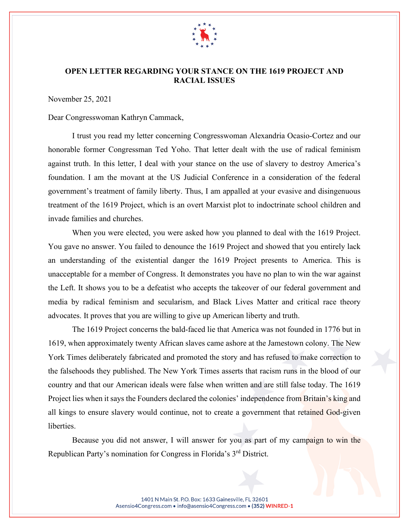

## **OPEN LETTER REGARDING YOUR STANCE ON THE 1619 PROJECT AND RACIAL ISSUES**

November 25, 2021

Dear Congresswoman Kathryn Cammack,

I trust you read my letter concerning Congresswoman Alexandria Ocasio-Cortez and our honorable former Congressman Ted Yoho. That letter dealt with the use of radical feminism against truth. In this letter, I deal with your stance on the use of slavery to destroy America's foundation. I am the movant at the US Judicial Conference in a consideration of the federal government's treatment of family liberty. Thus, I am appalled at your evasive and disingenuous treatment of the 1619 Project, which is an overt Marxist plot to indoctrinate school children and invade families and churches.

When you were elected, you were asked how you planned to deal with the 1619 Project. You gave no answer. You failed to denounce the 1619 Project and showed that you entirely lack an understanding of the existential danger the 1619 Project presents to America. This is unacceptable for a member of Congress. It demonstrates you have no plan to win the war against the Left. It shows you to be a defeatist who accepts the takeover of our federal government and media by radical feminism and secularism, and Black Lives Matter and critical race theory advocates. It proves that you are willing to give up American liberty and truth.

The 1619 Project concerns the bald-faced lie that America was not founded in 1776 but in 1619, when approximately twenty African slaves came ashore at the Jamestown colony. The New York Times deliberately fabricated and promoted the story and has refused to make correction to the falsehoods they published. The New York Times asserts that racism runs in the blood of our country and that our American ideals were false when written and are still false today. The 1619 Project lies when it says the Founders declared the colonies' independence from Britain's king and all kings to ensure slavery would continue, not to create a government that retained God-given liberties.

Because you did not answer, I will answer for you as part of my campaign to win the Republican Party's nomination for Congress in Florida's 3rd District.

> 1401 N Main St. P.O. Box: 1633 Gainesville, FL 32601 Asensio4Congress.com • info@asensio4Congress.com • (352) WINRED-1